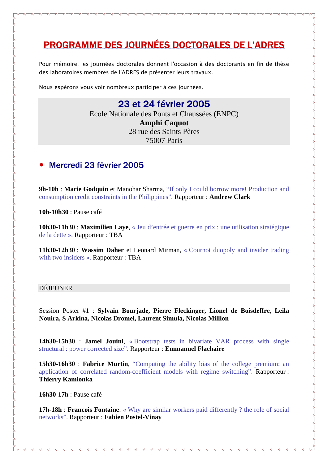# PROGRAMME DES JOURNÉES DOCTORALES DE L'ADRES

Pour mémoire, les journées doctorales donnent l'occasion à des doctorants en fin de thèse des laboratoires membres de l'ADRES de présenter leurs travaux.

Nous espérons vous voir nombreux participer à ces journées.

## 23 et 24 février 2005

Ecole Nationale des Ponts et Chaussées (ENPC) **Amphi Caquot**  28 rue des Saints Pères 75007 Paris

### • Mercredi 23 février 2005

**9h-10h** : **Marie Godquin** et Manohar Sharma, "If only I could borrow more! Production and consumption credit constraints in the Philippines". Rapporteur : **Andrew Clark** 

**10h-10h30** : Pause café

**10h30-11h30** : **Maximilien Laye**, « Jeu d'entrée et guerre en prix : une utilisation stratégique de la dette ». Rapporteur : TBA

**11h30-12h30** : **Wassim Daher** et Leonard Mirman, « Cournot duopoly and insider trading with two insiders ». Rapporteur : TBA

### DÉJEUNER

 $\frac{8}{20} - \frac{8}{20}$ 

Session Poster #1 : **Sylvain Bourjade, Pierre Fleckinger, Lionel de Boisdeffre, Leila Nouira, S Arkina, Nicolas Dromel, Laurent Simula, Nicolas Million**

**14h30-15h30** : **Jamel Jouini**, « Bootstrap tests in bivariate VAR process with single structural : power corrected size". Rapporteur : **Emmanuel Flachaire**

**15h30-16h30** : **Fabrice Murtin**, "Computing the ability bias of the college premium: an application of correlated random-coefficient models with regime switching". Rapporteur : **Thierry Kamionka** 

**16h30-17h** : Pause café

**17h-18h : Francois Fontaine:** « Why are similar workers paid differently ? the role of social networks". Rapporteur : **Fabien Postel-Vinay**